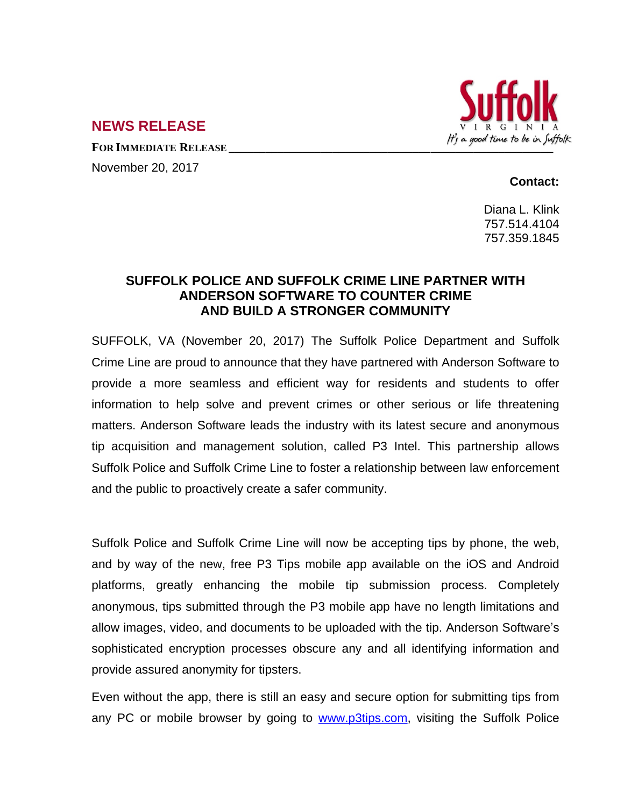

## **NEWS RELEASE**

November 20, 2017

## **Contact:**

Diana L. Klink 757.514.4104 757.359.1845

## **SUFFOLK POLICE AND SUFFOLK CRIME LINE PARTNER WITH ANDERSON SOFTWARE TO COUNTER CRIME AND BUILD A STRONGER COMMUNITY**

SUFFOLK, VA (November 20, 2017) The Suffolk Police Department and Suffolk Crime Line are proud to announce that they have partnered with Anderson Software to provide a more seamless and efficient way for residents and students to offer information to help solve and prevent crimes or other serious or life threatening matters. Anderson Software leads the industry with its latest secure and anonymous tip acquisition and management solution, called P3 Intel. This partnership allows Suffolk Police and Suffolk Crime Line to foster a relationship between law enforcement and the public to proactively create a safer community.

Suffolk Police and Suffolk Crime Line will now be accepting tips by phone, the web, and by way of the new, free P3 Tips mobile app available on the iOS and Android platforms, greatly enhancing the mobile tip submission process. Completely anonymous, tips submitted through the P3 mobile app have no length limitations and allow images, video, and documents to be uploaded with the tip. Anderson Software's sophisticated encryption processes obscure any and all identifying information and provide assured anonymity for tipsters.

Even without the app, there is still an easy and secure option for submitting tips from any PC or mobile browser by going to [www.p3tips.com,](http://www.p3tips.com) visiting the Suffolk Police